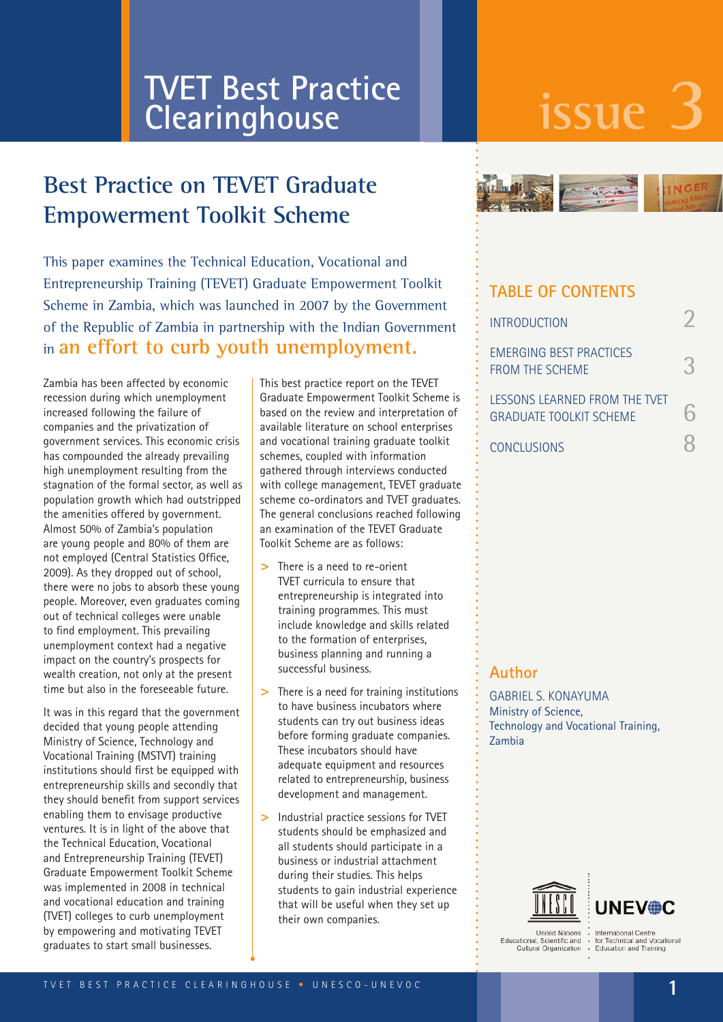# **issue 3 TVET Best Practice Clearinghouse**

# **Best Practice on TEVET Graduate Empowerment Toolkit Scheme**

This paper examines the Technical Education, Vocational and Entrepreneurship Training (TEVET) Graduate Empowerment Toolkit Scheme in Zambia, which was launched in 2007 by the Government of the Republic of Zambia in partnership with the Indian Government in **an effort to curb youth unemployment.** 

Zambia has been affected by economic recession during which unemployment increased following the failure of companies and the privatization of government services. This economic crisis has compounded the already prevailing high unemployment resulting from the stagnation of the formal sector, as well as population growth which had outstripped the amenities offered by government. Almost 50% of Zambia's population are young people and 80% of them are not employed (Central Statistics Office, 2009). As they dropped out of school, there were no jobs to absorb these young people. Moreover, even graduates coming out of technical colleges were unable to find employment. This prevailing unemployment context had a negative impact on the country's prospects for wealth creation, not only at the present time but also in the foreseeable future.

It was in this regard that the government decided that young people attending Ministry of Science, Technology and Vocational Training (MSTVT) training institutions should first be equipped with entrepreneurship skills and secondly that they should benefit from support services enabling them to envisage productive ventures. It is in light of the above that the Technical Education, Vocational and Entrepreneurship Training (TEVET) Graduate Empowerment Toolkit Scheme was implemented in 2008 in technical and vocational education and training (TVET) colleges to curb unemployment by empowering and motivating TEVET graduates to start small businesses.

This best practice report on the TEVET Graduate Empowerment Toolkit Scheme is based on the review and interpretation of available literature on school enterprises and vocational training graduate toolkit schemes, coupled with information gathered through interviews conducted with college management, TEVET graduate scheme co-ordinators and TVET graduates. The general conclusions reached following an examination of the TEVET Graduate Toolkit Scheme are as follows:

- **>**  There is a need to re-orient TVET curricula to ensure that entrepreneurship is integrated into training programmes. This must include knowledge and skills related to the formation of enterprises, business planning and running a successful business.
- **>**  There is a need for training institutions to have business incubators where students can try out business ideas before forming graduate companies. These incubators should have adequate equipment and resources related to entrepreneurship, business development and management.
- **>**  Industrial practice sessions for TVET students should be emphasized and all students should participate in a business or industrial attachment during their studies. This helps students to gain industrial experience that will be useful when they set up their own companies.



#### **TABLE OF CONTENTS**

| <b>INTRODUCTION</b>                                                    |  |
|------------------------------------------------------------------------|--|
| <b>EMERGING BEST PRACTICES</b><br>FROM THE SCHEME                      |  |
| <b>IFSSONS LEARNED FROM THE TVET</b><br><b>GRADUATE TOOLKIT SCHEME</b> |  |
| <b>CONCLUSIONS</b>                                                     |  |

#### **Author**

GABRIEL S. KONAYUMA Ministry of Science, Technology and Vocational Training, Zambia



**Hoited Nations** United Nations<br>ational, Scientific and<br>Cultural Organization Educational

International Centre<br>for Technical and Vocational<br>Education and Training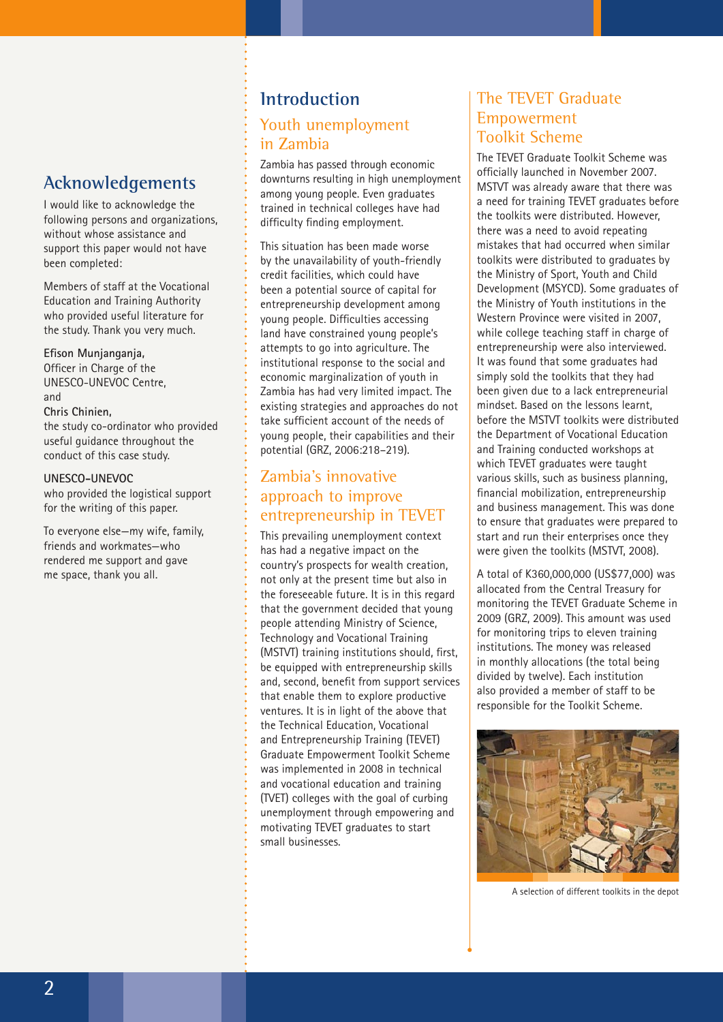# **Acknowledgements**

I would like to acknowledge the following persons and organizations, without whose assistance and support this paper would not have been completed:

Members of staff at the Vocational Education and Training Authority who provided useful literature for the study. Thank you very much.

**Efison Munjanganja,** Officer in Charge of the UNESCO-UNEVOC Centre, and **Chris Chinien,** the study co-ordinator who provided useful guidance throughout the conduct of this case study.

#### **UNESCO-UNEVOC**

who provided the logistical support for the writing of this paper.

To everyone else—my wife, family, friends and workmates—who rendered me support and gave me space, thank you all.

#### **Introduction**

#### Youth unemployment in Zambia

Zambia has passed through economic downturns resulting in high unemployment among young people. Even graduates trained in technical colleges have had difficulty finding employment.

This situation has been made worse by the unavailability of youth-friendly credit facilities, which could have been a potential source of capital for entrepreneurship development among young people. Difficulties accessing land have constrained young people's attempts to go into agriculture. The institutional response to the social and economic marginalization of youth in Zambia has had very limited impact. The existing strategies and approaches do not take sufficient account of the needs of young people, their capabilities and their potential (GRZ, 2006:218–219).

#### Zambia's innovative approach to improve entrepreneurship in TEVET

This prevailing unemployment context has had a negative impact on the country's prospects for wealth creation, not only at the present time but also in the foreseeable future. It is in this regard that the government decided that young people attending Ministry of Science, Technology and Vocational Training (MSTVT) training institutions should, first, be equipped with entrepreneurship skills and, second, benefit from support services that enable them to explore productive ventures. It is in light of the above that the Technical Education, Vocational and Entrepreneurship Training (TEVET) Graduate Empowerment Toolkit Scheme was implemented in 2008 in technical and vocational education and training (TVET) colleges with the goal of curbing unemployment through empowering and motivating TEVET graduates to start small businesses.

#### The TEVET Graduate Empowerment Toolkit Scheme

The TEVET Graduate Toolkit Scheme was officially launched in November 2007. MSTVT was already aware that there was a need for training TEVET graduates before the toolkits were distributed. However, there was a need to avoid repeating mistakes that had occurred when similar toolkits were distributed to graduates by the Ministry of Sport, Youth and Child Development (MSYCD). Some graduates of the Ministry of Youth institutions in the Western Province were visited in 2007, while college teaching staff in charge of entrepreneurship were also interviewed. It was found that some graduates had simply sold the toolkits that they had been given due to a lack entrepreneurial mindset. Based on the lessons learnt, before the MSTVT toolkits were distributed the Department of Vocational Education and Training conducted workshops at which TEVET graduates were taught various skills, such as business planning, financial mobilization, entrepreneurship and business management. This was done to ensure that graduates were prepared to start and run their enterprises once they were given the toolkits (MSTVT, 2008).

A total of K360,000,000 (US\$77,000) was allocated from the Central Treasury for monitoring the TEVET Graduate Scheme in 2009 (GRZ, 2009). This amount was used for monitoring trips to eleven training institutions. The money was released in monthly allocations (the total being divided by twelve). Each institution also provided a member of staff to be responsible for the Toolkit Scheme.



A selection of different toolkits in the depot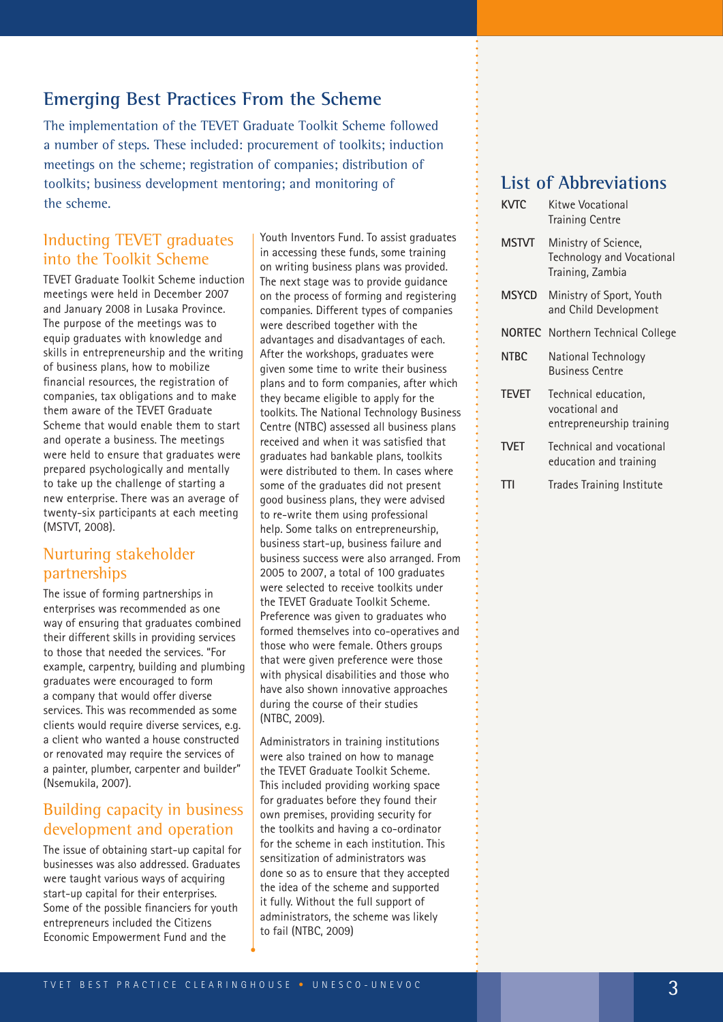# **Emerging Best Practices From the Scheme**

The implementation of the TEVET Graduate Toolkit Scheme followed a number of steps. These included: procurement of toolkits; induction meetings on the scheme; registration of companies; distribution of toolkits; business development mentoring; and monitoring of the scheme.

#### Inducting TEVET graduates into the Toolkit Scheme

TEVET Graduate Toolkit Scheme induction meetings were held in December 2007 and January 2008 in Lusaka Province. The purpose of the meetings was to equip graduates with knowledge and skills in entrepreneurship and the writing of business plans, how to mobilize financial resources, the registration of companies, tax obligations and to make them aware of the TEVET Graduate Scheme that would enable them to start and operate a business. The meetings were held to ensure that graduates were prepared psychologically and mentally to take up the challenge of starting a new enterprise. There was an average of twenty-six participants at each meeting (MSTVT, 2008).

#### Nurturing stakeholder partnerships

The issue of forming partnerships in enterprises was recommended as one way of ensuring that graduates combined their different skills in providing services to those that needed the services. "For example, carpentry, building and plumbing graduates were encouraged to form a company that would offer diverse services. This was recommended as some clients would require diverse services, e.g. a client who wanted a house constructed or renovated may require the services of a painter, plumber, carpenter and builder" (Nsemukila, 2007).

#### Building capacity in business development and operation

The issue of obtaining start-up capital for businesses was also addressed. Graduates were taught various ways of acquiring start-up capital for their enterprises. Some of the possible financiers for youth entrepreneurs included the Citizens Economic Empowerment Fund and the

Youth Inventors Fund. To assist graduates in accessing these funds, some training on writing business plans was provided. The next stage was to provide guidance on the process of forming and registering companies. Different types of companies were described together with the advantages and disadvantages of each. After the workshops, graduates were given some time to write their business plans and to form companies, after which they became eligible to apply for the toolkits. The National Technology Business Centre (NTBC) assessed all business plans received and when it was satisfied that graduates had bankable plans, toolkits were distributed to them. In cases where some of the graduates did not present good business plans, they were advised to re-write them using professional help. Some talks on entrepreneurship, business start-up, business failure and business success were also arranged. From 2005 to 2007, a total of 100 graduates were selected to receive toolkits under the TEVET Graduate Toolkit Scheme. Preference was given to graduates who formed themselves into co-operatives and those who were female. Others groups that were given preference were those with physical disabilities and those who have also shown innovative approaches during the course of their studies (NTBC, 2009).

Administrators in training institutions were also trained on how to manage the TEVET Graduate Toolkit Scheme. This included providing working space for graduates before they found their own premises, providing security for the toolkits and having a co-ordinator for the scheme in each institution. This sensitization of administrators was done so as to ensure that they accepted the idea of the scheme and supported it fully. Without the full support of administrators, the scheme was likely to fail (NTBC, 2009)

## **List of Abbreviations**

| KVTC         | Kitwe Vocational<br><b>Training Centre</b>                                   |
|--------------|------------------------------------------------------------------------------|
| <b>MSTVT</b> | Ministry of Science,<br><b>Technology and Vocational</b><br>Training, Zambia |
| MSYCD        | Ministry of Sport, Youth<br>and Child Development                            |
|              | <b>NORTEC</b> Northern Technical College                                     |
| <b>NTBC</b>  | National Technology<br><b>Business Centre</b>                                |
| <b>TEVET</b> | Technical education,<br>vocational and<br>entrepreneurship training          |
| <b>TVET</b>  | Technical and vocational<br>education and training                           |
| Ш            | <b>Trades Training Institute</b>                                             |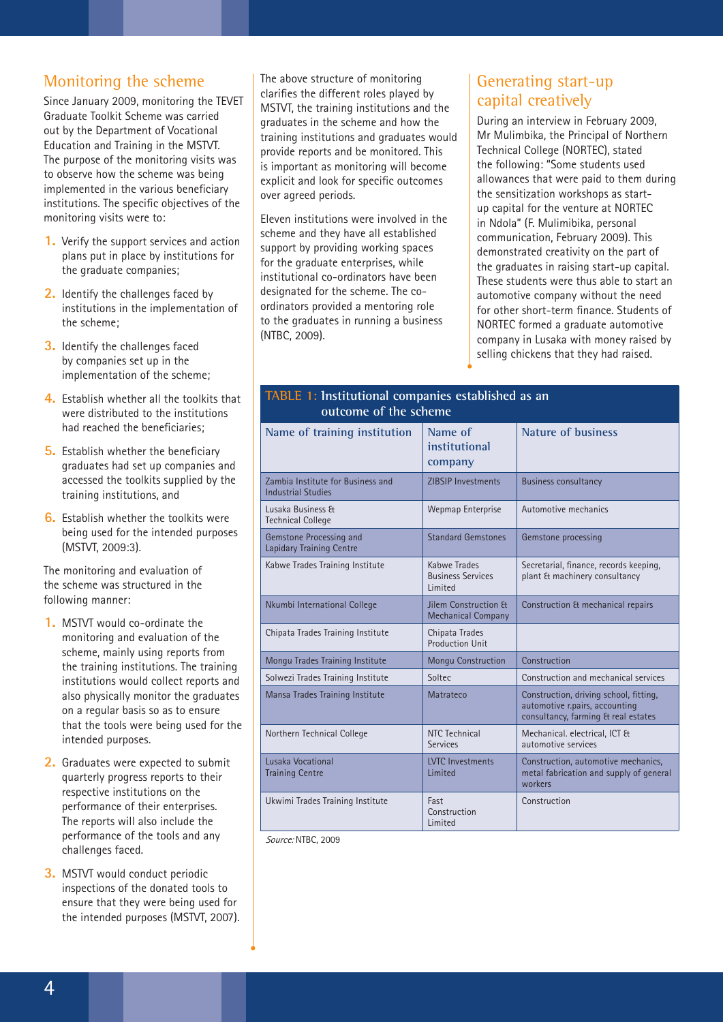#### Monitoring the scheme

Since January 2009, monitoring the TEVET Graduate Toolkit Scheme was carried out by the Department of Vocational Education and Training in the MSTVT. The purpose of the monitoring visits was to observe how the scheme was being implemented in the various beneficiary institutions. The specific objectives of the monitoring visits were to:

- **1.** Verify the support services and action plans put in place by institutions for the graduate companies;
- **2.** Identify the challenges faced by institutions in the implementation of the scheme;
- **3.** Identify the challenges faced by companies set up in the implementation of the scheme;
- **4.** Establish whether all the toolkits that were distributed to the institutions had reached the beneficiaries;
- **5.** Establish whether the beneficiary graduates had set up companies and accessed the toolkits supplied by the training institutions, and
- **6.** Establish whether the toolkits were being used for the intended purposes (MSTVT, 2009:3).

The monitoring and evaluation of the scheme was structured in the following manner:

- **1.** MSTVT would co-ordinate the monitoring and evaluation of the scheme, mainly using reports from the training institutions. The training institutions would collect reports and also physically monitor the graduates on a regular basis so as to ensure that the tools were being used for the intended purposes.
- **2.** Graduates were expected to submit quarterly progress reports to their respective institutions on the performance of their enterprises. The reports will also include the performance of the tools and any challenges faced.
- **3.** MSTVT would conduct periodic inspections of the donated tools to ensure that they were being used for the intended purposes (MSTVT, 2007).

The above structure of monitoring clarifies the different roles played by MSTVT, the training institutions and the graduates in the scheme and how the training institutions and graduates would provide reports and be monitored. This is important as monitoring will become explicit and look for specific outcomes over agreed periods.

Eleven institutions were involved in the scheme and they have all established support by providing working spaces for the graduate enterprises, while institutional co-ordinators have been designated for the scheme. The coordinators provided a mentoring role to the graduates in running a business (NTBC, 2009).

## Generating start-up capital creatively

During an interview in February 2009, Mr Mulimbika, the Principal of Northern Technical College (NORTEC), stated the following: "Some students used allowances that were paid to them during the sensitization workshops as startup capital for the venture at NORTEC in Ndola" (F. Mulimibika, personal communication, February 2009). This demonstrated creativity on the part of the graduates in raising start-up capital. These students were thus able to start an automotive company without the need for other short-term finance. Students of NORTEC formed a graduate automotive company in Lusaka with money raised by selling chickens that they had raised.

| TADLE 1. INSULUTIONAL COMPANIES ESTADISTICULAS AN<br>outcome of the scheme |                                                     |                                                                                                                 |  |
|----------------------------------------------------------------------------|-----------------------------------------------------|-----------------------------------------------------------------------------------------------------------------|--|
| Name of training institution                                               | Name of<br>institutional<br>company                 | Nature of business                                                                                              |  |
| Zambia Institute for Business and<br><b>Industrial Studies</b>             | <b>ZIBSIP Investments</b>                           | <b>Business consultancy</b>                                                                                     |  |
| Lusaka Business &<br><b>Technical College</b>                              | Wepmap Enterprise                                   | Automotive mechanics                                                                                            |  |
| Gemstone Processing and<br>Lapidary Training Centre                        | <b>Standard Gemstones</b>                           | Gemstone processing                                                                                             |  |
| Kabwe Trades Training Institute                                            | Kabwe Trades<br><b>Business Services</b><br>Limited | Secretarial, finance, records keeping,<br>plant & machinery consultancy                                         |  |
| Nkumbi International College                                               | Jilem Construction &<br><b>Mechanical Company</b>   | Construction & mechanical repairs                                                                               |  |
| Chipata Trades Training Institute                                          | Chipata Trades<br>Production Unit                   |                                                                                                                 |  |
| Mongu Trades Training Institute                                            | <b>Mongu Construction</b>                           | Construction                                                                                                    |  |
| Solwezi Trades Training Institute                                          | Soltec                                              | Construction and mechanical services                                                                            |  |
| Mansa Trades Training Institute                                            | Matrateco                                           | Construction, driving school, fitting,<br>automotive r.pairs, accounting<br>consultancy, farming & real estates |  |
| Northern Technical College                                                 | NTC Technical<br><b>Services</b>                    | Mechanical. electrical, ICT &<br>automotive services                                                            |  |
| Lusaka Vocational<br><b>Training Centre</b>                                | <b>LVTC</b> Investments<br>Limited                  | Construction, automotive mechanics,<br>metal fabrication and supply of general<br>workers                       |  |
| Ukwimi Trades Training Institute                                           | Fast<br>Construction<br>Limited                     | Construction                                                                                                    |  |

**TABLE 1: Institutional companies established as an** 

*Source:* NTBC, 2009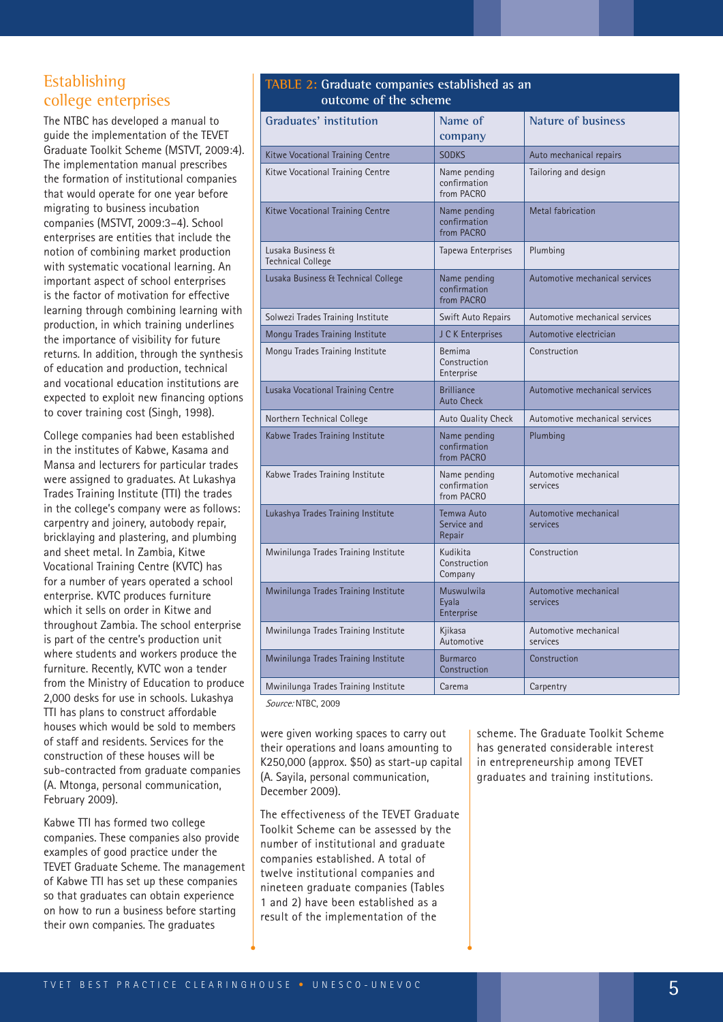#### Establishing college enterprises

The NTBC has developed a manual to guide the implementation of the TEVET Graduate Toolkit Scheme (MSTVT, 2009:4). The implementation manual prescribes the formation of institutional companies that would operate for one year before migrating to business incubation companies (MSTVT, 2009:3–4). School enterprises are entities that include the notion of combining market production with systematic vocational learning. An important aspect of school enterprises is the factor of motivation for effective learning through combining learning with production, in which training underlines the importance of visibility for future returns. In addition, through the synthesis of education and production, technical and vocational education institutions are expected to exploit new financing options to cover training cost (Singh, 1998).

College companies had been established in the institutes of Kabwe, Kasama and Mansa and lecturers for particular trades were assigned to graduates. At Lukashya Trades Training Institute (TTI) the trades in the college's company were as follows: carpentry and joinery, autobody repair, bricklaying and plastering, and plumbing and sheet metal. In Zambia, Kitwe Vocational Training Centre (KVTC) has for a number of years operated a school enterprise. KVTC produces furniture which it sells on order in Kitwe and throughout Zambia. The school enterprise is part of the centre's production unit where students and workers produce the furniture. Recently, KVTC won a tender from the Ministry of Education to produce 2,000 desks for use in schools. Lukashya TTI has plans to construct affordable houses which would be sold to members of staff and residents. Services for the construction of these houses will be sub-contracted from graduate companies (A. Mtonga, personal communication, February 2009).

Kabwe TTI has formed two college companies. These companies also provide examples of good practice under the TEVET Graduate Scheme. The management of Kabwe TTI has set up these companies so that graduates can obtain experience on how to run a business before starting their own companies. The graduates

#### **TABLE 2: Graduate companies established as an outcome of the scheme**

| come<br><b>VE LIKE SCHLIN</b>                 |                                            |                                   |
|-----------------------------------------------|--------------------------------------------|-----------------------------------|
| Graduates' institution                        | Name of<br>company                         | <b>Nature of business</b>         |
| Kitwe Vocational Training Centre              | <b>SODKS</b>                               | Auto mechanical repairs           |
| Kitwe Vocational Training Centre              | Name pending<br>confirmation<br>from PACRO | Tailoring and design              |
| Kitwe Vocational Training Centre              | Name pending<br>confirmation<br>from PACRO | <b>Metal fabrication</b>          |
| Lusaka Business &<br><b>Technical College</b> | Tapewa Enterprises                         | Plumbing                          |
| Lusaka Business & Technical College           | Name pending<br>confirmation<br>from PACRO | Automotive mechanical services    |
| Solwezi Trades Training Institute             | Swift Auto Repairs                         | Automotive mechanical services    |
| Mongu Trades Training Institute               | J C K Enterprises                          | Automotive electrician            |
| Mongu Trades Training Institute               | Bemima<br>Construction<br>Enterprise       | Construction                      |
| Lusaka Vocational Training Centre             | <b>Brilliance</b><br><b>Auto Check</b>     | Automotive mechanical services    |
| Northern Technical College                    | <b>Auto Quality Check</b>                  | Automotive mechanical services    |
| Kabwe Trades Training Institute               | Name pending<br>confirmation<br>from PACRO | Plumbing                          |
| Kabwe Trades Training Institute               | Name pending<br>confirmation<br>from PACRO | Automotive mechanical<br>services |
| Lukashya Trades Training Institute            | Temwa Auto<br>Service and<br>Repair        | Automotive mechanical<br>services |
| Mwinilunga Trades Training Institute          | Kudikita<br>Construction<br>Company        | Construction                      |
| Mwinilunga Trades Training Institute          | Muswulwila<br>Eyala<br>Enterprise          | Automotive mechanical<br>services |
| Mwinilunga Trades Training Institute          | Kjikasa<br>Automotive                      | Automotive mechanical<br>services |
| Mwinilunga Trades Training Institute          | <b>Burmarco</b><br>Construction            | Construction                      |
| Mwinilunga Trades Training Institute          | Carema                                     | Carpentry                         |

*Source:* NTBC, 2009

were given working spaces to carry out their operations and loans amounting to K250,000 (approx. \$50) as start-up capital (A. Sayila, personal communication, December 2009).

The effectiveness of the TEVET Graduate Toolkit Scheme can be assessed by the number of institutional and graduate companies established. A total of twelve institutional companies and nineteen graduate companies (Tables 1 and 2) have been established as a result of the implementation of the

scheme. The Graduate Toolkit Scheme has generated considerable interest in entrepreneurship among TEVET graduates and training institutions.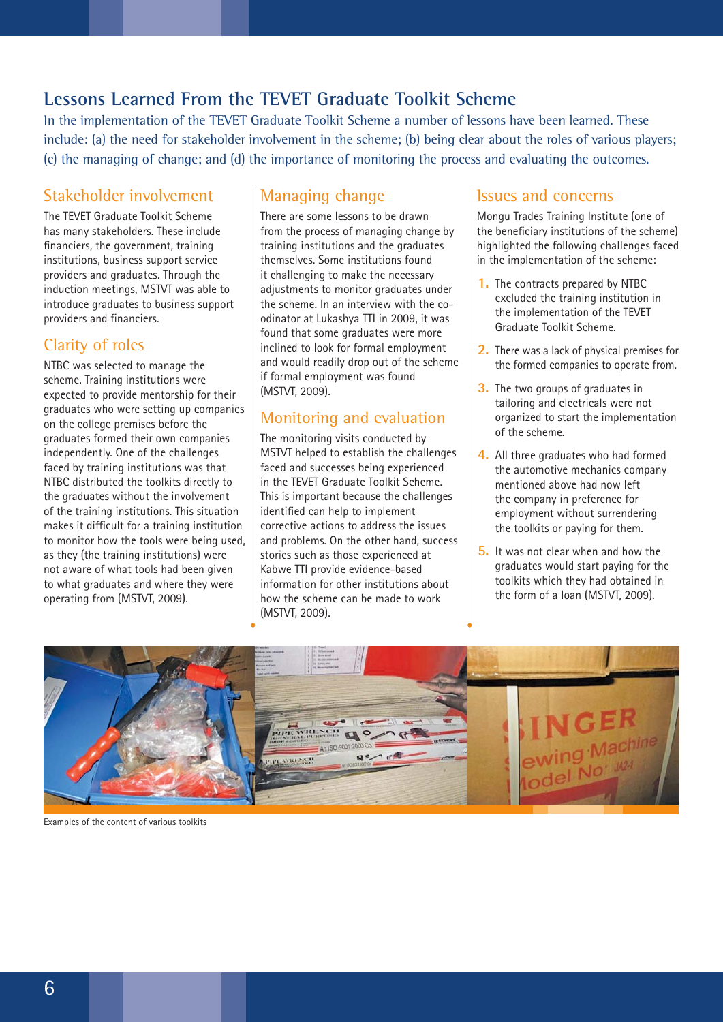## **Lessons Learned From the TEVET Graduate Toolkit Scheme**

In the implementation of the TEVET Graduate Toolkit Scheme a number of lessons have been learned. These include: (a) the need for stakeholder involvement in the scheme; (b) being clear about the roles of various players; (c) the managing of change; and (d) the importance of monitoring the process and evaluating the outcomes.

#### Stakeholder involvement

The TEVET Graduate Toolkit Scheme has many stakeholders. These include financiers, the government, training institutions, business support service providers and graduates. Through the induction meetings, MSTVT was able to introduce graduates to business support providers and financiers.

#### Clarity of roles

NTBC was selected to manage the scheme. Training institutions were expected to provide mentorship for their graduates who were setting up companies on the college premises before the graduates formed their own companies independently. One of the challenges faced by training institutions was that NTBC distributed the toolkits directly to the graduates without the involvement of the training institutions. This situation makes it difficult for a training institution to monitor how the tools were being used, as they (the training institutions) were not aware of what tools had been given to what graduates and where they were operating from (MSTVT, 2009).

#### Managing change

There are some lessons to be drawn from the process of managing change by training institutions and the graduates themselves. Some institutions found it challenging to make the necessary adjustments to monitor graduates under the scheme. In an interview with the coodinator at Lukashya TTI in 2009, it was found that some graduates were more inclined to look for formal employment and would readily drop out of the scheme if formal employment was found (MSTVT, 2009).

#### Monitoring and evaluation

The monitoring visits conducted by MSTVT helped to establish the challenges faced and successes being experienced in the TEVET Graduate Toolkit Scheme. This is important because the challenges identified can help to implement corrective actions to address the issues and problems. On the other hand, success stories such as those experienced at Kabwe TTI provide evidence-based information for other institutions about how the scheme can be made to work (MSTVT, 2009).

#### Issues and concerns

Mongu Trades Training Institute (one of the beneficiary institutions of the scheme) highlighted the following challenges faced in the implementation of the scheme:

- **1.** The contracts prepared by NTBC excluded the training institution in the implementation of the TEVET Graduate Toolkit Scheme.
- **2.** There was a lack of physical premises for the formed companies to operate from.
- **3.** The two groups of graduates in tailoring and electricals were not organized to start the implementation of the scheme.
- **4.** All three graduates who had formed the automotive mechanics company mentioned above had now left the company in preference for employment without surrendering the toolkits or paying for them.
- **5.** It was not clear when and how the graduates would start paying for the toolkits which they had obtained in the form of a loan (MSTVT, 2009).



Examples of the content of various toolkits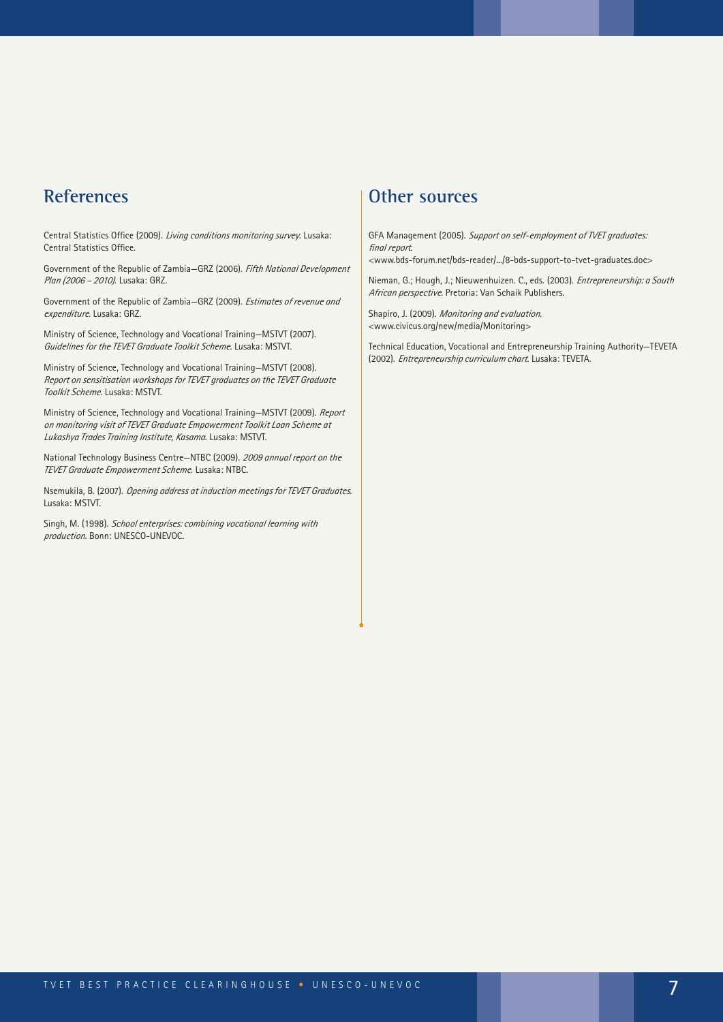#### **References**

Central Statistics Office (2009). *Living conditions monitoring survey*. Lusaka: Central Statistics Office.

Government of the Republic of Zambia—GRZ (2006). *Fifth National Development Plan (2006 – 2010)*. Lusaka: GRZ.

Government of the Republic of Zambia—GRZ (2009). *Estimates of revenue and expenditure*. Lusaka: GRZ.

Ministry of Science, Technology and Vocational Training—MSTVT (2007). *Guidelines for the TEVET Graduate Toolkit Scheme*. Lusaka: MSTVT.

Ministry of Science, Technology and Vocational Training—MSTVT (2008). *Report on sensitisation workshops for TEVET graduates on the TEVET Graduate Toolkit Scheme*. Lusaka: MSTVT.

Ministry of Science, Technology and Vocational Training—MSTVT (2009). *Report on monitoring visit of TEVET Graduate Empowerment Toolkit Loan Scheme at Lukashya Trades Training Institute, Kasama*. Lusaka: MSTVT.

National Technology Business Centre—NTBC (2009). *2009 annual report on the TEVET Graduate Empowerment Scheme*. Lusaka: NTBC.

Nsemukila, B. (2007). *Opening address at induction meetings for TEVET Graduates*. Lusaka: MSTVT.

Singh, M. (1998). *School enterprises: combining vocational learning with production*. Bonn: UNESCO-UNEVOC.

#### **Other sources**

GFA Management (2005). *Support on self-employment of TVET graduates: final report*.

<www.bds-forum.net/bds-reader/.../8-bds-support-to-tvet-graduates.doc>

Nieman, G.; Hough, J.; Nieuwenhuizen. C., eds. (2003). *Entrepreneurship: a South African perspective*. Pretoria: Van Schaik Publishers.

Shapiro, J. (2009). *Monitoring and evaluation*. <www.civicus.org/new/media/Monitoring>

Technical Education, Vocational and Entrepreneurship Training Authority—TEVETA (2002). *Entrepreneurship curriculum chart*. Lusaka: TEVETA.